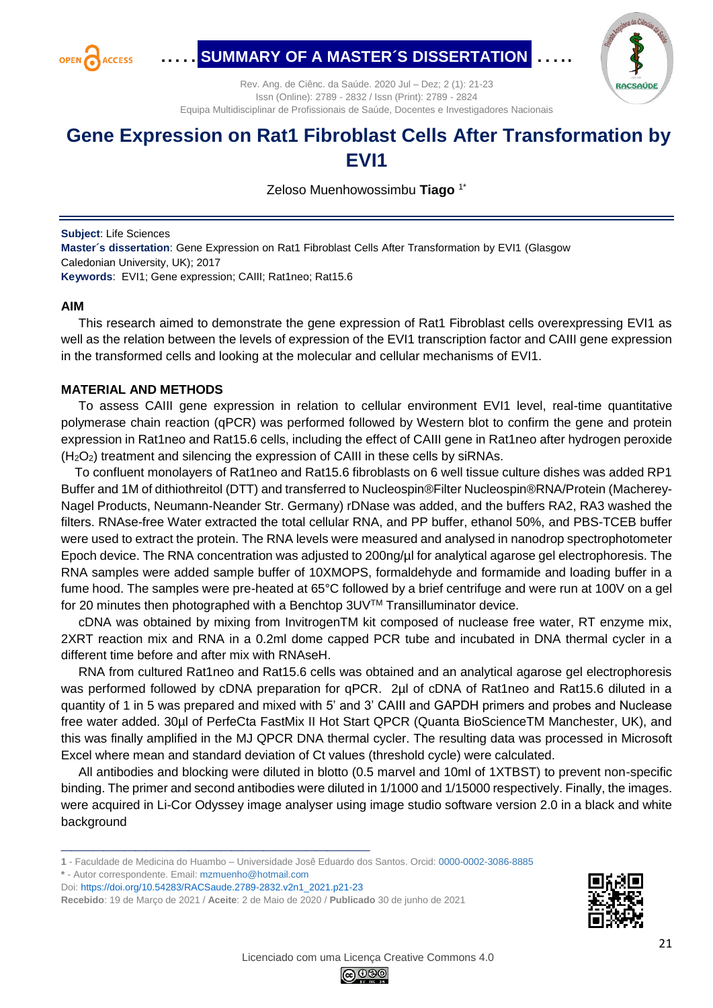

# ..…**.SUMMARY OF A MASTER´S DISSERTATION..**…..



Rev. Ang. de Ciênc. da Saúde. 2020 Jul – Dez; 2 (1): 21-23 Issn (Online): 2789 - 2832 / Issn (Print): 2789 - 2824 Equipa Multidisciplinar de Profissionais de Saúde, Docentes e Investigadores Nacionais

## **Gene Expression on Rat1 Fibroblast Cells After Transformation by EVI1**

Zeloso Muenhowossimbu **Tiago** 1\*

**Subject**: Life Sciences

**Master´s dissertation**: Gene Expression on Rat1 Fibroblast Cells After Transformation by EVI1 (Glasgow Caledonian University, UK); 2017 **Keywords**: EVI1; Gene expression; CAIII; Rat1neo; Rat15.6

#### **AIM**

 This research aimed to demonstrate the gene expression of Rat1 Fibroblast cells overexpressing EVI1 as well as the relation between the levels of expression of the EVI1 transcription factor and CAIII gene expression in the transformed cells and looking at the molecular and cellular mechanisms of EVI1.

### **MATERIAL AND METHODS**

 To assess CAIII gene expression in relation to cellular environment EVI1 level, real-time quantitative polymerase chain reaction (qPCR) was performed followed by Western blot to confirm the gene and protein expression in Rat1neo and Rat15.6 cells, including the effect of CAIII gene in Rat1neo after hydrogen peroxide  $(H<sub>2</sub>O<sub>2</sub>)$  treatment and silencing the expression of CAIII in these cells by siRNAs.

 To confluent monolayers of Rat1neo and Rat15.6 fibroblasts on 6 well tissue culture dishes was added RP1 Buffer and 1M of dithiothreitol (DTT) and transferred to Nucleospin®Filter Nucleospin®RNA/Protein (Macherey-Nagel Products, Neumann-Neander Str. Germany) rDNase was added, and the buffers RA2, RA3 washed the filters. RNAse-free Water extracted the total cellular RNA, and PP buffer, ethanol 50%, and PBS-TCEB buffer were used to extract the protein. The RNA levels were measured and analysed in nanodrop spectrophotometer Epoch device. The RNA concentration was adjusted to 200ng/µl for analytical agarose gel electrophoresis. The RNA samples were added sample buffer of 10XMOPS, formaldehyde and formamide and loading buffer in a fume hood. The samples were pre-heated at 65°C followed by a brief centrifuge and were run at 100V on a gel for 20 minutes then photographed with a Benchtop 3UV™ Transilluminator device.

 cDNA was obtained by mixing from InvitrogenTM kit composed of nuclease free water, RT enzyme mix, 2XRT reaction mix and RNA in a 0.2ml dome capped PCR tube and incubated in DNA thermal cycler in a different time before and after mix with RNAseH.

 RNA from cultured Rat1neo and Rat15.6 cells was obtained and an analytical agarose gel electrophoresis was performed followed by cDNA preparation for qPCR. 2µl of cDNA of Rat1neo and Rat15.6 diluted in a quantity of 1 in 5 was prepared and mixed with 5' and 3' CAIII and GAPDH primers and probes and Nuclease free water added. 30µl of PerfeCta FastMix II Hot Start QPCR (Quanta BioScienceTM Manchester, UK), and this was finally amplified in the MJ QPCR DNA thermal cycler. The resulting data was processed in Microsoft Excel where mean and standard deviation of Ct values (threshold cycle) were calculated.

 All antibodies and blocking were diluted in blotto (0.5 marvel and 10ml of 1XTBST) to prevent non-specific binding. The primer and second antibodies were diluted in 1/1000 and 1/15000 respectively. Finally, the images. were acquired in Li-Cor Odyssey image analyser using image studio software version 2.0 in a black and white background

- **\*** Autor correspondente. Email: [mzmuenho@hotmail.com](mailto:mzmuenho@hotmail.com)
- Doi: [https://doi.org/10.54283/RACSaude.2789-2832.v2n1\\_2021.p21-23](https://doi.org/10.54283/RACSaude.2789-2832.v2n1_2021.p21-23)

**\_\_\_\_\_\_\_\_\_\_\_\_\_\_\_\_\_\_\_\_\_\_\_\_\_\_\_\_\_**





**<sup>1</sup>** - Faculdade de Medicina do Huambo – Universidade Josê Eduardo dos Santos. Orcid[: 0000-0002-3086-8885](https://orcid.org/0000-0002-3086-8885)

**Recebido**: 19 de Março de 2021 / **Aceite**: 2 de Maio de 2020 / **Publicado** 30 de junho de 2021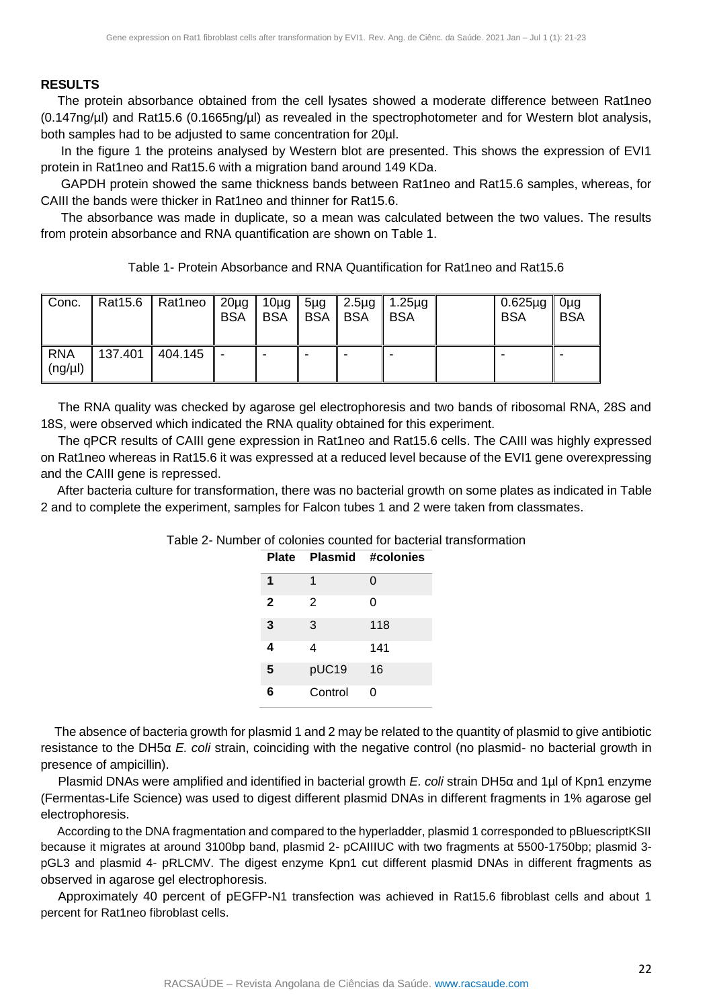#### **RESULTS**

The protein absorbance obtained from the cell lysates showed a moderate difference between Rat1neo (0.147ng/µl) and Rat15.6 (0.1665ng/µl) as revealed in the spectrophotometer and for Western blot analysis, both samples had to be adjusted to same concentration for 20µl.

In the figure 1 the proteins analysed by Western blot are presented. This shows the expression of EVI1 protein in Rat1neo and Rat15.6 with a migration band around 149 KDa.

GAPDH protein showed the same thickness bands between Rat1neo and Rat15.6 samples, whereas, for CAIII the bands were thicker in Rat1neo and thinner for Rat15.6.

The absorbance was made in duplicate, so a mean was calculated between the two values. The results from protein absorbance and RNA quantification are shown on Table 1.

Table 1- Protein Absorbance and RNA Quantification for Rat1neo and Rat15.6

| Conc.                      |         | Rat15.6   Rat1neo   20µg   10µg | <b>BSA</b> | <b>BSA</b> | BSA BSA | $5\mu$ g   2.5 $\mu$ g   1.25 $\mu$ g<br>∥ BSA | 0.625µg   0µg<br><b>BSA</b> | <b>BSA</b> |
|----------------------------|---------|---------------------------------|------------|------------|---------|------------------------------------------------|-----------------------------|------------|
| <b>RNA</b><br>$(ng/\mu l)$ | 137.401 | $\vert$ 404.145                 |            |            |         |                                                |                             |            |

 The RNA quality was checked by agarose gel electrophoresis and two bands of ribosomal RNA, 28S and 18S, were observed which indicated the RNA quality obtained for this experiment.

 The qPCR results of CAIII gene expression in Rat1neo and Rat15.6 cells. The CAIII was highly expressed on Rat1neo whereas in Rat15.6 it was expressed at a reduced level because of the EVI1 gene overexpressing and the CAIII gene is repressed.

 After bacteria culture for transformation, there was no bacterial growth on some plates as indicated in Table 2 and to complete the experiment, samples for Falcon tubes 1 and 2 were taken from classmates.

| Table 2- Number of colonies counted for bacterial transformation |  |  |  |  |
|------------------------------------------------------------------|--|--|--|--|
|------------------------------------------------------------------|--|--|--|--|

|              |         | Plate Plasmid #colonies |
|--------------|---------|-------------------------|
| 1            | 1       | 0                       |
| $\mathbf{2}$ | 2       | ი                       |
| 3            | 3       | 118                     |
| 4            | 4       | 141                     |
| 5            | pUC19   | 16                      |
| 6            | Control | O                       |

 The absence of bacteria growth for plasmid 1 and 2 may be related to the quantity of plasmid to give antibiotic resistance to the DH5α *E. coli* strain, coinciding with the negative control (no plasmid- no bacterial growth in presence of ampicillin).

 Plasmid DNAs were amplified and identified in bacterial growth *E. coli* strain DH5α and 1µl of Kpn1 enzyme (Fermentas-Life Science) was used to digest different plasmid DNAs in different fragments in 1% agarose gel electrophoresis.

 According to the DNA fragmentation and compared to the hyperladder, plasmid 1 corresponded to pBluescriptKSII because it migrates at around 3100bp band, plasmid 2- pCAIIIUC with two fragments at 5500-1750bp; plasmid 3 pGL3 and plasmid 4- pRLCMV. The digest enzyme Kpn1 cut different plasmid DNAs in different fragments as observed in agarose gel electrophoresis.

 Approximately 40 percent of pEGFP-N1 transfection was achieved in Rat15.6 fibroblast cells and about 1 percent for Rat1neo fibroblast cells.